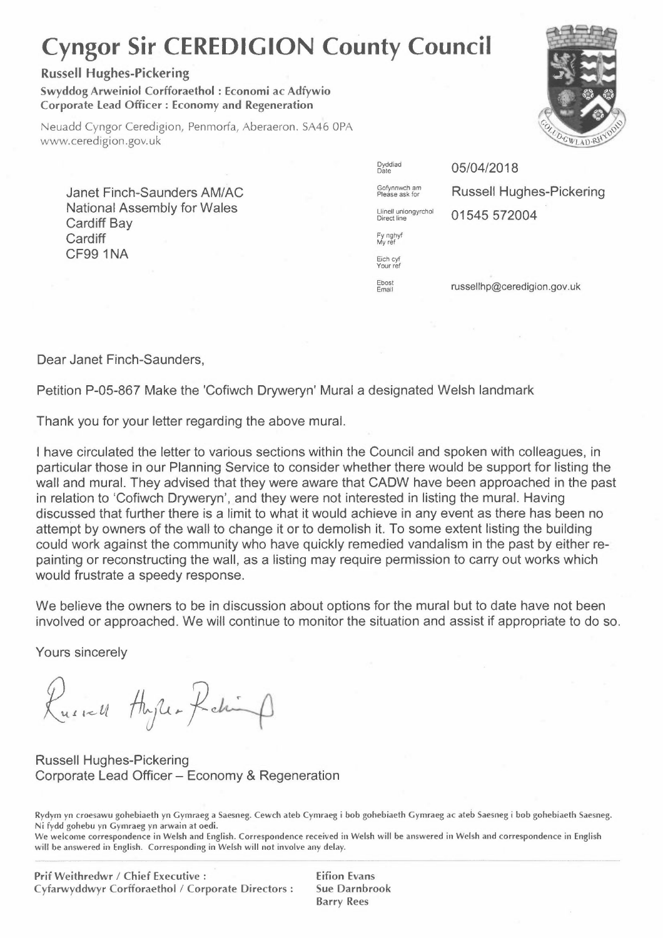## **Cyngor Sir CEREDIGION County Council**

## **Russell Hughes-Pickering**

**Swyddog Arweiniol Corfforaethol : Economi ac Adfywio Corporate Lead Officer : Economy and Regeneration** 

Neuadd Cyngor Ceredigion, Penmorfa, Aberaeron. SA46 OPA www.ceredigion.gov.uk

Janet Finch-Saunders AM/AC National Assembly for Wales Cardiff Bay **Cardiff** CF991NA

Dyddiad 05/04/2018 Fy nghyf<br>My ref Eich cyf Your ref Ebost

 $G$ <sup>Ofynnwch am</sup> **Russell Hughes-Pickering** Llinell uniongyrchol **01545 572004** 

russellhp@ceredigion.gov.uk

Dear Janet Finch-Saunders,

Petition P-05-867 Make the 'Cofiwch Dryweryn' Mural a designated Welsh landmark

Thank you for your letter regarding the above mural.

I have circulated the letter to various sections within the Council and spoken with colleagues, in particular those in our Planning Service to consider whether there would be support for listing the wall and mural. They advised that they were aware that CADW have been approached in the past in relation to 'Cofiwch Dryweryn', and they were not interested in listing the mural. Having discussed that further there is a limit to what it would achieve in any event as there has been no attempt by owners of the wall to change it or to demolish it. To some extent listing the building could work against the community who have quickly remedied vandalism in the past by either repainting or reconstructing the wall, as a listing may require permission to carry out works which would frustrate a speedy response.

We believe the owners to be in discussion about options for the mural but to date have not been involved or approached. We will continue to monitor the situation and assist if appropriate to do so.

Yours sincerely

Russell Hyper Reling

Russell Hughes-Pickering Corporate Lead Officer - Economy & Regeneration

Rydym yn croesawu gohebiaeth yn Gymraeg a Saesneg. Cewch ateb Cymraeg i bob gohebiaeth Gymraeg ac ateb Saesneg i bob gohebiaeth Saesneg. Ni fydd gohebu yn Gymraeg yn arwain at oedi.

We welcome correspondence in Welsh and English. Correspondence received in Welsh will be answered in Welsh and correspondence in English will be answered in English. Corresponding in Welsh will not involve any delay.

Eifion Evans Sue Darnbrook Barry Rees